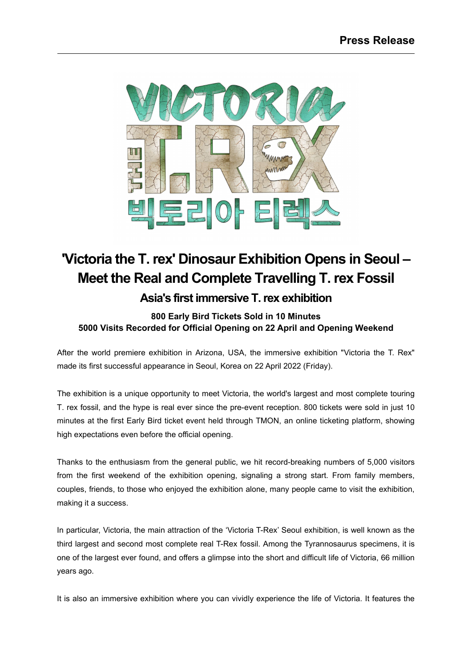

## **'Victoria the T.rex' Dinosaur Exhibition Opens in Seoul – Meet the Real and Complete Travelling T. rex Fossil**

**Asia's first immersive T.rex exhibition**

## **800 Early Bird Tickets Sold in 10 Minutes 5000 Visits Recorded for Official Opening on 22 April and Opening Weekend**

After the world premiere exhibition in Arizona, USA, the immersive exhibition "Victoria the T. Rex" made its first successful appearance in Seoul, Korea on 22 April 2022 (Friday).

The exhibition is a unique opportunity to meet Victoria, the world's largest and most complete touring T. rex fossil, and the hype is real ever since the pre-event reception. 800 tickets were sold in just 10 minutes at the first Early Bird ticket event held through TMON, an online ticketing platform, showing high expectations even before the official opening.

Thanks to the enthusiasm from the general public, we hit record-breaking numbers of 5,000 visitors from the first weekend of the exhibition opening, signaling a strong start. From family members, couples, friends, to those who enjoyed the exhibition alone, many people came to visit the exhibition, making it a success.

In particular, Victoria, the main attraction of the 'Victoria T-Rex' Seoul exhibition, is well known as the third largest and second most complete real T-Rex fossil. Among the Tyrannosaurus specimens, it is one of the largest ever found, and offers a glimpse into the short and difficult life of Victoria, 66 million years ago.

It is also an immersive exhibition where you can vividly experience the life of Victoria. It features the